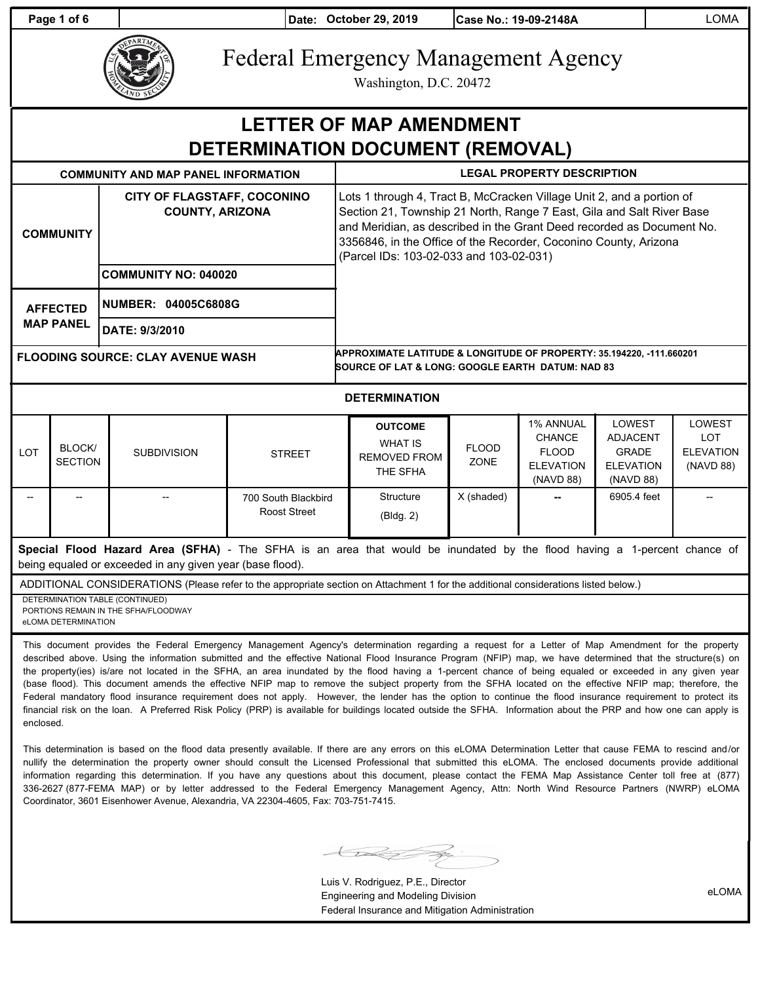**Page 1 of 6 Date: October 29, 2019 Case No.: 19-09-2148A** LOMA



# Federal Emergency Management Agency

Washington, D.C. 20472

## **LETTER OF MAP AMENDMENT DETERMINATION DOCUMENT (REMOVAL)**

| <b>COMMUNITY AND MAP PANEL INFORMATION</b> |                      |                                                              | <b>LEGAL PROPERTY DESCRIPTION</b>                                                                                                   |                                                                                                                                                                                                                                                                                                                                        |  |                     |        |        |  |  |
|--------------------------------------------|----------------------|--------------------------------------------------------------|-------------------------------------------------------------------------------------------------------------------------------------|----------------------------------------------------------------------------------------------------------------------------------------------------------------------------------------------------------------------------------------------------------------------------------------------------------------------------------------|--|---------------------|--------|--------|--|--|
| <b>COMMUNITY</b>                           |                      | <b>CITY OF FLAGSTAFF, COCONINO</b><br><b>COUNTY, ARIZONA</b> |                                                                                                                                     | Lots 1 through 4, Tract B, McCracken Village Unit 2, and a portion of<br>Section 21, Township 21 North, Range 7 East, Gila and Salt River Base<br>and Meridian, as described in the Grant Deed recorded as Document No.<br>3356846, in the Office of the Recorder, Coconino County, Arizona<br>(Parcel IDs: 103-02-033 and 103-02-031) |  |                     |        |        |  |  |
|                                            |                      | <b>COMMUNITY NO: 040020</b>                                  |                                                                                                                                     |                                                                                                                                                                                                                                                                                                                                        |  |                     |        |        |  |  |
|                                            | <b>AFFECTED</b>      | <b>NUMBER: 04005C6808G</b>                                   |                                                                                                                                     |                                                                                                                                                                                                                                                                                                                                        |  |                     |        |        |  |  |
|                                            | <b>MAP PANEL</b>     | DATE: 9/3/2010                                               |                                                                                                                                     |                                                                                                                                                                                                                                                                                                                                        |  |                     |        |        |  |  |
| <b>FLOODING SOURCE: CLAY AVENUE WASH</b>   |                      |                                                              | APPROXIMATE LATITUDE & LONGITUDE OF PROPERTY: 35.194220, -111.660201<br><b>SOURCE OF LAT &amp; LONG: GOOGLE EARTH DATUM: NAD 83</b> |                                                                                                                                                                                                                                                                                                                                        |  |                     |        |        |  |  |
|                                            | <b>DETERMINATION</b> |                                                              |                                                                                                                                     |                                                                                                                                                                                                                                                                                                                                        |  |                     |        |        |  |  |
|                                            |                      |                                                              |                                                                                                                                     |                                                                                                                                                                                                                                                                                                                                        |  | <b>AOZ ANIMITAL</b> | $\sim$ | $\sim$ |  |  |

| <b>LOT</b>        | <b>BLOCK/</b><br>SECTION | <b>SUBDIVISION</b> | <b>STREET</b>                       | <b>OUTCOME</b><br><b>WHAT IS</b><br>REMOVED FROM<br>THE SFHA | <b>FLOOD</b><br><b>ZONE</b> | <b>1% ANNUAL</b><br><b>CHANCE</b><br><b>FLOOD</b><br><b>ELEVATION</b><br>(NAVD 88) | <b>LOWEST</b><br><b>ADJACENT</b><br><b>GRADE</b><br><b>ELEVATION</b><br>(NAVD 88) | LOWEST<br>LOT<br><b>ELEVATION</b><br>(NAVD 88) |
|-------------------|--------------------------|--------------------|-------------------------------------|--------------------------------------------------------------|-----------------------------|------------------------------------------------------------------------------------|-----------------------------------------------------------------------------------|------------------------------------------------|
| $\hspace{0.05cm}$ | $- -$                    | $- -$              | 700 South Blackbird<br>Roost Street | Structure<br>(Bldq. 2)                                       | X (shaded)                  | $\qquad \qquad$                                                                    | 6905.4 feet                                                                       |                                                |

**Special Flood Hazard Area (SFHA)** - The SFHA is an area that would be inundated by the flood having a 1-percent chance of being equaled or exceeded in any given year (base flood).

ADDITIONAL CONSIDERATIONS (Please refer to the appropriate section on Attachment 1 for the additional considerations listed below.)

DETERMINATION TABLE (CONTINUED) PORTIONS REMAIN IN THE SFHA/FLOODWAY eLOMA DETERMINATION

This document provides the Federal Emergency Management Agency's determination regarding a request for a Letter of Map Amendment for the property described above. Using the information submitted and the effective National Flood Insurance Program (NFIP) map, we have determined that the structure(s) on the property(ies) is/are not located in the SFHA, an area inundated by the flood having a 1-percent chance of being equaled or exceeded in any given year (base flood). This document amends the effective NFIP map to remove the subject property from the SFHA located on the effective NFIP map; therefore, the Federal mandatory flood insurance requirement does not apply. However, the lender has the option to continue the flood insurance requirement to protect its financial risk on the loan. A Preferred Risk Policy (PRP) is available for buildings located outside the SFHA. Information about the PRP and how one can apply is enclosed.

This determination is based on the flood data presently available. If there are any errors on this eLOMA Determination Letter that cause FEMA to rescind and/or nullify the determination the property owner should consult the Licensed Professional that submitted this eLOMA. The enclosed documents provide additional information regarding this determination. If you have any questions about this document, please contact the FEMA Map Assistance Center toll free at (877) 336-2627 (877-FEMA MAP) or by letter addressed to the Federal Emergency Management Agency, Attn: North Wind Resource Partners (NWRP) eLOMA Coordinator, 3601 Eisenhower Avenue, Alexandria, VA 22304-4605, Fax: 703-751-7415.

 $\bigcup$ 

Luis V. Rodriguez, P.E., Director Engineering and Modeling Division Federal Insurance and Mitigation Administration

eLOMA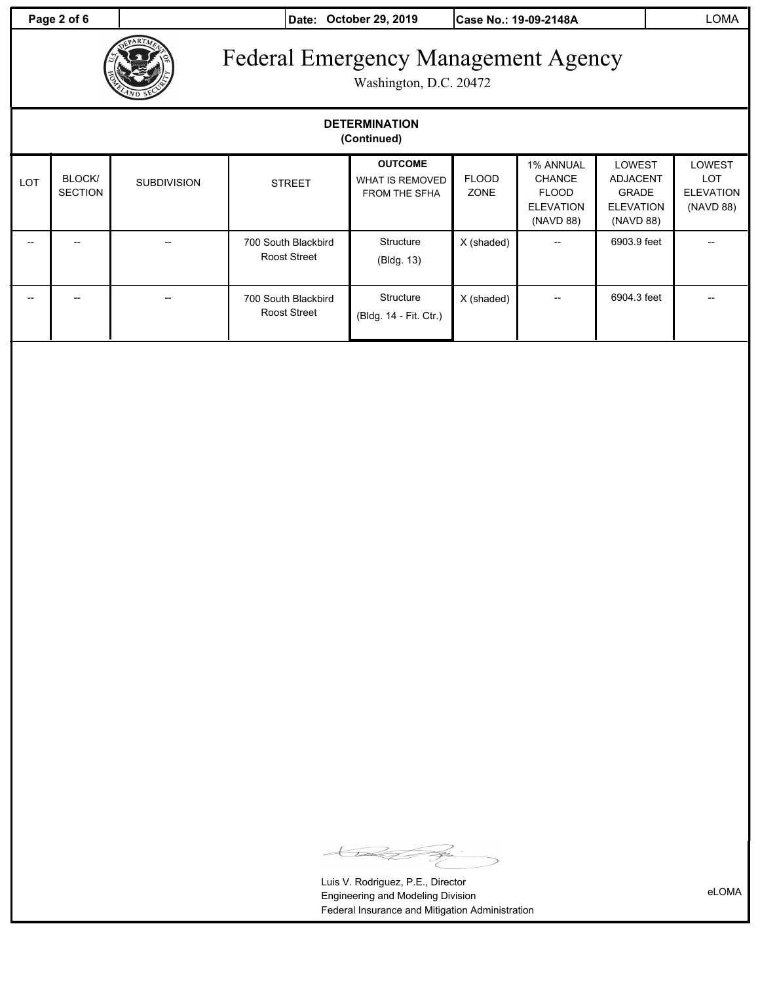**Page 2 of 6 Date: October 29, 2019 Case No.: 19-09-2148A** LOMA



Washington, D.C. 20472

| <b>DETERMINATION</b><br>(Continued) |                          |                    |                                            |                                                    |                             |                                                                             |                                                                            |                                                              |  |
|-------------------------------------|--------------------------|--------------------|--------------------------------------------|----------------------------------------------------|-----------------------------|-----------------------------------------------------------------------------|----------------------------------------------------------------------------|--------------------------------------------------------------|--|
| <b>LOT</b>                          | BLOCK/<br><b>SECTION</b> | <b>SUBDIVISION</b> | <b>STREET</b>                              | <b>OUTCOME</b><br>WHAT IS REMOVED<br>FROM THE SFHA | <b>FLOOD</b><br><b>ZONE</b> | 1% ANNUAL<br><b>CHANCE</b><br><b>FLOOD</b><br><b>ELEVATION</b><br>(NAVD 88) | LOWEST<br><b>ADJACENT</b><br><b>GRADE</b><br><b>ELEVATION</b><br>(NAVD 88) | <b>LOWEST</b><br><b>LOT</b><br><b>ELEVATION</b><br>(NAVD 88) |  |
|                                     |                          |                    | 700 South Blackbird<br><b>Roost Street</b> | Structure<br>(Bldg. 13)                            | X (shaded)                  | --                                                                          | 6903.9 feet                                                                |                                                              |  |
|                                     | --                       |                    | 700 South Blackbird<br><b>Roost Street</b> | Structure<br>(Bldg. 14 - Fit. Ctr.)                | X (shaded)                  | --                                                                          | 6904.3 feet                                                                |                                                              |  |

 $\bigoplus$ ≫

Luis V. Rodriguez, P.E., Director Engineering and Modeling Division Federal Insurance and Mitigation Administration

eLOMA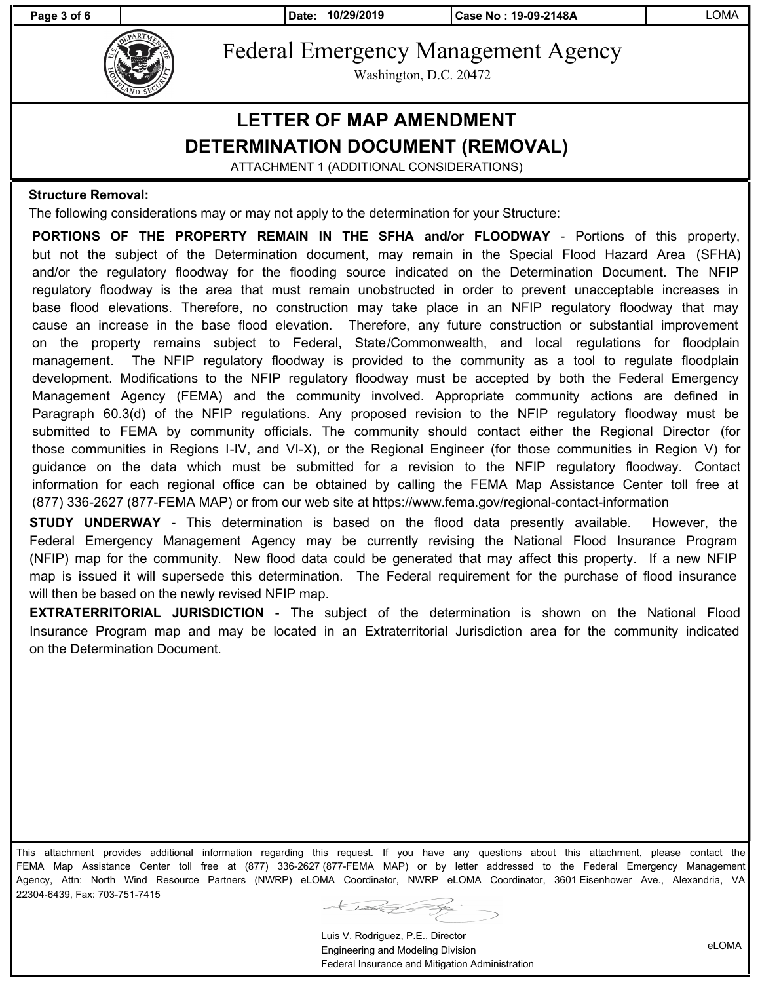

Federal Emergency Management Agency

Washington, D.C. 20472

### **LETTER OF MAP AMENDMENT DETERMINATION DOCUMENT (REMOVAL)**

ATTACHMENT 1 (ADDITIONAL CONSIDERATIONS)

#### **Structure Removal:**

The following considerations may or may not apply to the determination for your Structure:

**PORTIONS OF THE PROPERTY REMAIN IN THE SFHA and/or FLOODWAY** - Portions of this property, but not the subject of the Determination document, may remain in the Special Flood Hazard Area (SFHA) and/or the regulatory floodway for the flooding source indicated on the Determination Document. The NFIP regulatory floodway is the area that must remain unobstructed in order to prevent unacceptable increases in base flood elevations. Therefore, no construction may take place in an NFIP regulatory floodway that may cause an increase in the base flood elevation. Therefore, any future construction or substantial improvement on the property remains subject to Federal, State/Commonwealth, and local regulations for floodplain management. The NFIP regulatory floodway is provided to the community as a tool to regulate floodplain development. Modifications to the NFIP regulatory floodway must be accepted by both the Federal Emergency Management Agency (FEMA) and the community involved. Appropriate community actions are defined in Paragraph 60.3(d) of the NFIP regulations. Any proposed revision to the NFIP regulatory floodway must be submitted to FEMA by community officials. The community should contact either the Regional Director (for those communities in Regions I-IV, and VI-X), or the Regional Engineer (for those communities in Region V) for guidance on the data which must be submitted for a revision to the NFIP regulatory floodway. Contact information for each regional office can be obtained by calling the FEMA Map Assistance Center toll free at (877) 336-2627 (877-FEMA MAP) or from our web site at https://www.fema.gov/regional-contact-information

**STUDY UNDERWAY** - This determination is based on the flood data presently available. However, the Federal Emergency Management Agency may be currently revising the National Flood Insurance Program (NFIP) map for the community. New flood data could be generated that may affect this property. If a new NFIP map is issued it will supersede this determination. The Federal requirement for the purchase of flood insurance will then be based on the newly revised NFIP map.

**EXTRATERRITORIAL JURISDICTION** - The subject of the determination is shown on the National Flood Insurance Program map and may be located in an Extraterritorial Jurisdiction area for the community indicated on the Determination Document.

This attachment provides additional information regarding this request. If you have any questions about this attachment, please contact the FEMA Map Assistance Center toll free at (877) 336-2627 (877-FEMA MAP) or by letter addressed to the Federal Emergency Management Agency, Attn: North Wind Resource Partners (NWRP) eLOMA Coordinator, NWRP eLOMA Coordinator, 3601 Eisenhower Ave., Alexandria, VA 22304-6439, Fax: 703-751-7415

 $\leftarrow$ 

Luis V. Rodriguez, P.E., Director Engineering and Modeling Division Federal Insurance and Mitigation Administration